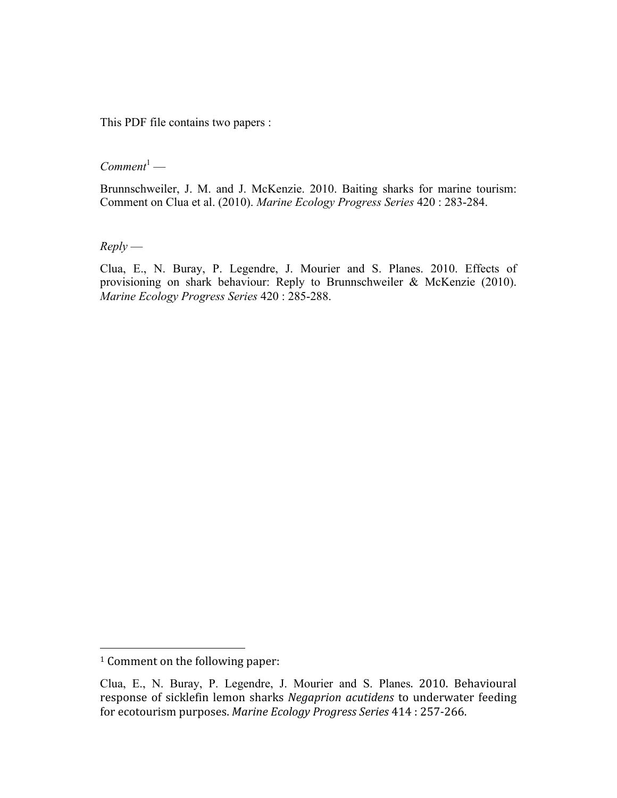This PDF file contains two papers :

 $Comment<sup>1</sup>$ —

Brunnschweiler, J. M. and J. McKenzie. 2010. Baiting sharks for marine tourism: Comment on Clua et al. (2010). *Marine Ecology Progress Series* 420 : 283-284.

*Reply* —

Clua, E., N. Buray, P. Legendre, J. Mourier and S. Planes. 2010. Effects of provisioning on shark behaviour: Reply to Brunnschweiler & McKenzie (2010). *Marine Ecology Progress Series* 420 : 285-288.

<sup>&</sup>lt;sup>1</sup> Comment on the following paper:

Clua, E., N. Buray, P. Legendre, J. Mourier and S. Planes. 2010. Behavioural response of sicklefin lemon sharks *Negaprion acutidens* to underwater feeding for ecotourism purposes. *Marine Ecology Progress Series* 414 : 257‐266.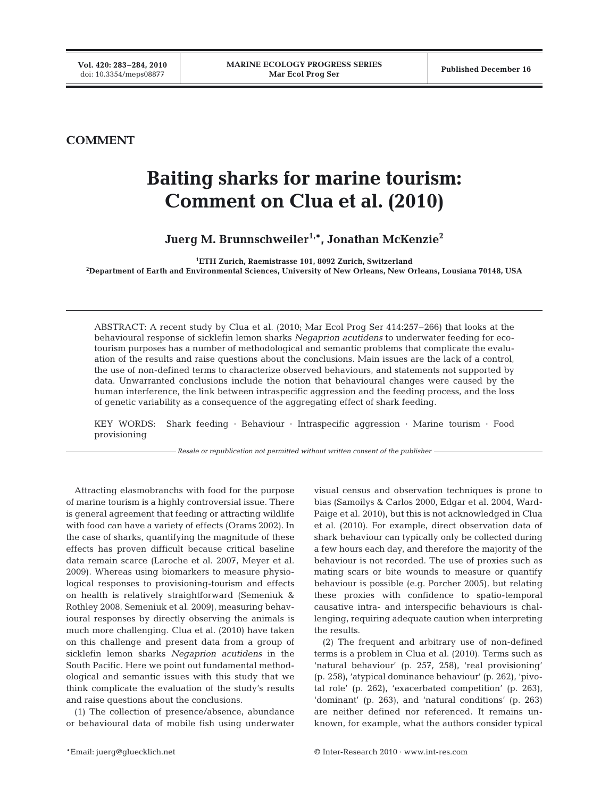# **COMMENT**

# **Baiting sharks for marine tourism: Comment on Clua et al. (2010)**

Juerg M. Brunnschweiler<sup>1,\*</sup>, Jonathan McKenzie<sup>2</sup>

**1 ETH Zurich, Raemistrasse 101, 8092 Zurich, Switzerland**

**2 Department of Earth and Environmental Sciences, University of New Orleans, New Orleans, Lousiana 70148, USA**

ABSTRACT: A recent study by Clua et al. (2010; Mar Ecol Prog Ser 414:257–266) that looks at the behavioural response of sicklefin lemon sharks *Negaprion acutidens* to underwater feeding for ecotourism purposes has a number of methodological and semantic problems that complicate the evaluation of the results and raise questions about the conclusions. Main issues are the lack of a control, the use of non-defined terms to characterize observed behaviours, and statements not supported by data. Unwarranted conclusions include the notion that behavioural changes were caused by the human interference, the link between intraspecific aggression and the feeding process, and the loss of genetic variability as a consequence of the aggregating effect of shark feeding.

KEY WORDS: Shark feeding · Behaviour · Intraspecific aggression · Marine tourism · Food provisioning

*Resale or republication not permitted without written consent of the publisher*

Attracting elasmobranchs with food for the purpose of marine tourism is a highly controversial issue. There is general agreement that feeding or attracting wildlife with food can have a variety of effects (Orams 2002). In the case of sharks, quantifying the magnitude of these effects has proven difficult because critical baseline data remain scarce (Laroche et al. 2007, Meyer et al. 2009). Whereas using biomarkers to measure physiological responses to provisioning-tourism and effects on health is relatively straightforward (Semeniuk & Rothley 2008, Semeniuk et al. 2009), measuring behavioural responses by directly observing the animals is much more challenging. Clua et al. (2010) have taken on this challenge and present data from a group of sicklefin lemon sharks *Negaprion acutidens* in the South Pacific. Here we point out fundamental methodological and semantic issues with this study that we think complicate the evaluation of the study's results and raise questions about the conclusions.

(1) The collection of presence/absence, abundance or behavioural data of mobile fish using underwater visual census and observation techniques is prone to bias (Samoilys & Carlos 2000, Edgar et al. 2004, Ward-Paige et al. 2010), but this is not acknowledged in Clua et al. (2010). For example, direct observation data of shark behaviour can typically only be collected during a few hours each day, and therefore the majority of the behaviour is not recorded. The use of proxies such as mating scars or bite wounds to measure or quantify behaviour is possible (e.g. Porcher 2005), but relating these proxies with confidence to spatio-temporal causative intra- and interspecific behaviours is challenging, requiring adequate caution when interpreting the results.

(2) The frequent and arbitrary use of non-defined terms is a problem in Clua et al. (2010). Terms such as 'natural behaviour' (p. 257, 258), 'real provisioning' (p. 258), 'atypical dominance behaviour' (p. 262), 'pivotal role' (p. 262), 'exacerbated competition' (p. 263), 'dominant' (p. 263), and 'natural conditions' (p. 263) are neither defined nor referenced. It remains unknown, for example, what the authors consider typical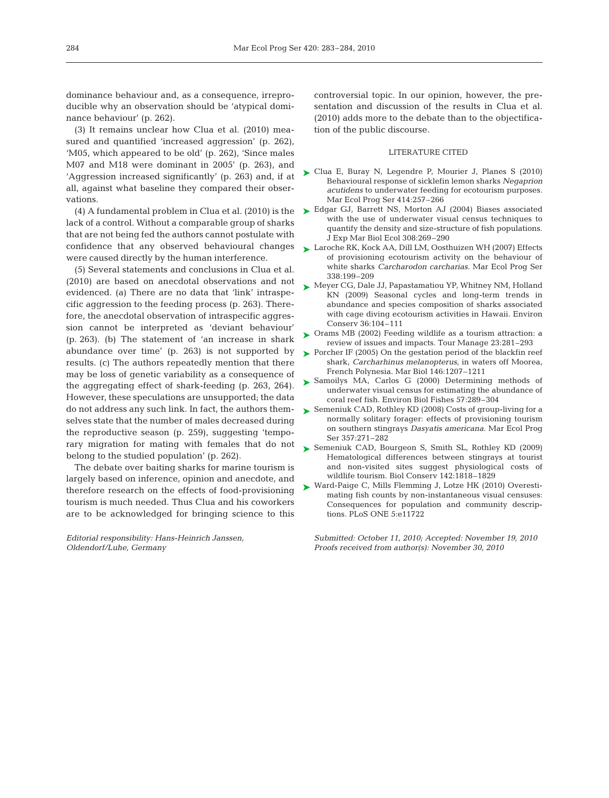dominance behaviour and, as a consequence, irreproducible why an observation should be 'atypical dominance behaviour' (p. 262).

(3) It remains unclear how Clua et al. (2010) measured and quantified 'increased aggression' (p. 262), 'M05, which appeared to be old' (p. 262), 'Since males M07 and M18 were dominant in 2005' (p. 263), and 'Aggression increased significantly' (p. 263) and, if at all, against what baseline they compared their observations.

lack of a control. Without a comparable group of sharks that are not being fed the authors cannot postulate with confidence that any observed behavioural changes were caused directly by the human interference.

(5) Several statements and conclusions in Clua et al. (2010) are based on anecdotal observations and not evidenced. (a) There are no data that 'link' intraspecific aggression to the feeding process (p. 263). Therefore, the anecdotal observation of intraspecific aggression cannot be interpreted as 'deviant behaviour' (p. 263). (b) The statement of 'an increase in shark abundance over time' (p. 263) is not supported by results. (c) The authors repeatedly mention that there may be loss of genetic variability as a consequence of the aggregating effect of shark-feeding (p. 263, 264). However, these speculations are unsupported; the data do not address any such link. In fact, the authors themselves state that the number of males decreased during the reproductive season (p. 259), suggesting 'temporary migration for mating with females that do not belong to the studied population' (p. 262).

The debate over baiting sharks for marine tourism is largely based on inference, opinion and anecdote, and therefore research on the effects of food-provisioning tourism is much needed. Thus Clua and his coworkers are to be acknowledged for bringing science to this

*Editorial responsibility: Hans-Heinrich Janssen, Oldendorf/Luhe, Germany*

controversial topic. In our opinion, however, the presentation and discussion of the results in Clua et al. (2010) adds more to the debate than to the objectification of the public discourse.

#### LITERATURE CITED

- ► Clua E, Buray N, Legendre P, Mourier J, Planes S (2010) Behavioural response of sicklefin lemon sharks *Negaprion acutidens* to underwater feeding for ecotourism purposes. Mar Ecol Prog Ser 414:257–266
- $(4)$  A fundamental problem in Clua et al.  $(2010)$  is the  $\triangleright$  Edgar GJ, Barrett NS, Morton AJ  $(2004)$  Biases associated with the use of underwater visual census techniques to quantify the density and size-structure of fish populations. J Exp Mar Biol Ecol 308:269–290
	- ► Laroche RK, Kock AA, Dill LM, Oosthuizen WH (2007) Effects of provisioning ecotourism activity on the behaviour of white sharks *Carcharodon carcharias.* Mar Ecol Prog Ser 338:199–209
	- ► Meyer CG, Dale JJ, Papastamatiou YP, Whitney NM, Holland KN (2009) Seasonal cycles and long-term trends in abundance and species composition of sharks associated with cage diving ecotourism activities in Hawaii. Environ Conserv 36:104–111
	- ► Orams MB (2002) Feeding wildlife as a tourism attraction: a review of issues and impacts. Tour Manage 23:281–293
	- ► Porcher IF (2005) On the gestation period of the blackfin reef shark, *Carcharhinus melanopterus*, in waters off Moorea, French Polynesia. Mar Biol 146:1207–1211
	- ▶ Samoilys MA, Carlos G (2000) Determining methods of underwater visual census for estimating the abundance of coral reef fish. Environ Biol Fishes 57:289–304
	- ► Semeniuk CAD, Rothley KD (2008) Costs of group-living for a normally solitary forager: effects of provisioning tourism on southern stingrays *Dasyatis americana.* Mar Ecol Prog Ser 357:271–282
	- ► Semeniuk CAD, Bourgeon S, Smith SL, Rothley KD (2009) Hematological differences between stingrays at tourist and non-visited sites suggest physiological costs of wildlife tourism. Biol Conserv 142:1818–1829
	- ► Ward-Paige C, Mills Flemming J, Lotze HK (2010) Overestimating fish counts by non-instantaneous visual censuses: Consequences for population and community descriptions. PLoS ONE 5:e11722

*Submitted: October 11, 2010; Accepted: November 19, 2010 Proofs received from author(s): November 30, 2010*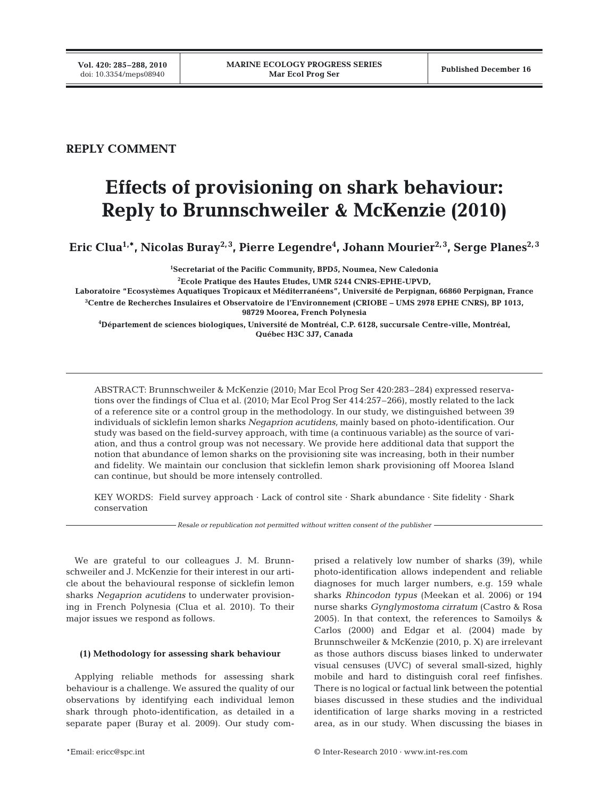# **REPLY COMMENT**

# **Effects of provisioning on shark behaviour: Reply to Brunnschweiler & McKenzie (2010)**

Eric Clua<sup>1,</sup>\*, Nicolas Buray<sup>2,3</sup>, Pierre Legendre<sup>4</sup>, Johann Mourier<sup>2,3</sup>, Serge Planes<sup>2,3</sup>

**1 Secretariat of the Pacific Community, BPD5, Noumea, New Caledonia 2 Ecole Pratique des Hautes Etudes, UMR 5244 CNRS-EPHE-UPVD,** 

**Laboratoire "Ecosystèmes Aquatiques Tropicaux et Méditerranéens", Université de Perpignan, 66860 Perpignan, France 3 Centre de Recherches Insulaires et Observatoire de l'Environnement (CRIOBE – UMS 2978 EPHE CNRS), BP 1013,** 

**98729 Moorea, French Polynesia**

**4 Département de sciences biologiques, Université de Montréal, C.P. 6128, succursale Centre-ville, Montréal, Québec H3C 3J7, Canada**

ABSTRACT: Brunnschweiler & McKenzie (2010; Mar Ecol Prog Ser 420:283–284) expressed reservations over the findings of Clua et al. (2010; Mar Ecol Prog Ser 414:257–266), mostly related to the lack of a reference site or a control group in the methodology. In our study, we distinguished between 39 individuals of sicklefin lemon sharks *Negaprion acutidens,* mainly based on photo-identification. Our study was based on the field-survey approach, with time (a continuous variable) as the source of variation, and thus a control group was not necessary. We provide here additional data that support the notion that abundance of lemon sharks on the provisioning site was increasing, both in their number and fidelity. We maintain our conclusion that sicklefin lemon shark provisioning off Moorea Island can continue, but should be more intensely controlled.

KEY WORDS: Field survey approach · Lack of control site · Shark abundance · Site fidelity · Shark conservation

*Resale or republication not permitted without written consent of the publisher*

We are grateful to our colleagues J. M. Brunnschweiler and J. McKenzie for their interest in our article about the behavioural response of sicklefin lemon sharks *Negaprion acutidens* to underwater provisioning in French Polynesia (Clua et al. 2010). To their major issues we respond as follows.

### **(1) Methodology for assessing shark behaviour**

Applying reliable methods for assessing shark behaviour is a challenge. We assured the quality of our observations by identifying each individual lemon shark through photo-identification, as detailed in a separate paper (Buray et al. 2009). Our study com-

prised a relatively low number of sharks (39), while photo-identification allows independent and reliable diagnoses for much larger numbers, e.g. 159 whale sharks *Rhincodon typus* (Meekan et al. 2006) or 194 nurse sharks *Gynglymostoma cirratum* (Castro & Rosa 2005). In that context, the references to Samoilys & Carlos (2000) and Edgar et al. (2004) made by Brunnschweiler & McKenzie (2010, p. X) are irrelevant as those authors discuss biases linked to underwater visual censuses (UVC) of several small-sized, highly mobile and hard to distinguish coral reef finfishes. There is no logical or factual link between the potential biases discussed in these studies and the individual identification of large sharks moving in a restricted area, as in our study. When discussing the biases in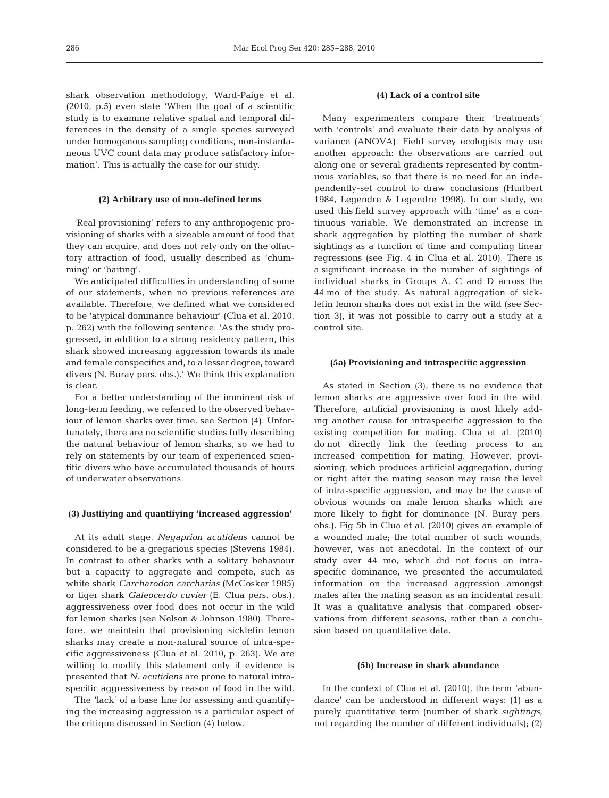shark observation methodology, Ward-Paige et al. (2010, p.5) even state 'When the goal of a scientific study is to examine relative spatial and temporal differences in the density of a single species surveyed under homogenous sampling conditions, non-instantaneous UVC count data may produce satisfactory information'. This is actually the case for our study.

#### **(2) Arbitrary use of non-defined terms**

'Real provisioning' refers to any anthropogenic provisioning of sharks with a sizeable amount of food that they can acquire, and does not rely only on the olfactory attraction of food, usually described as 'chumming' or 'baiting'.

We anticipated difficulties in understanding of some of our statements, when no previous references are available. Therefore, we defined what we considered to be 'atypical dominance behaviour' (Clua et al. 2010, p. 262) with the following sentence: 'As the study progressed, in addition to a strong residency pattern, this shark showed increasing aggression towards its male and female conspecifics and, to a lesser degree, toward divers (N. Buray pers. obs.).' We think this explanation is clear.

For a better understanding of the imminent risk of long-term feeding, we referred to the observed behaviour of lemon sharks over time, see Section (4). Unfortunately, there are no scientific studies fully describing the natural behaviour of lemon sharks, so we had to rely on statements by our team of experienced scientific divers who have accumulated thousands of hours of underwater observations.

#### **(3) Justifying and quantifying 'increased aggression'**

At its adult stage, *Negaprion acutidens* cannot be considered to be a gregarious species (Stevens 1984). In contrast to other sharks with a solitary behaviour but a capacity to aggregate and compete, such as white shark *Carcharodon carcharias* (McCosker 1985) or tiger shark *Galeocerdo cuvier* (E. Clua pers. obs.), aggressiveness over food does not occur in the wild for lemon sharks (see Nelson & Johnson 1980). Therefore, we maintain that provisioning sicklefin lemon sharks may create a non-natural source of intra-specific aggressiveness (Clua et al. 2010, p. 263). We are willing to modify this statement only if evidence is presented that *N. acutidens* are prone to natural intraspecific aggressiveness by reason of food in the wild.

The 'lack' of a base line for assessing and quantifying the increasing aggression is a particular aspect of the critique discussed in Section (4) below.

## **(4) Lack of a control site**

Many experimenters compare their 'treatments' with 'controls' and evaluate their data by analysis of variance (ANOVA). Field survey ecologists may use another approach: the observations are carried out along one or several gradients represented by continuous variables, so that there is no need for an independently-set control to draw conclusions (Hurlbert 1984, Legendre & Legendre 1998). In our study, we used this field survey approach with 'time' as a continuous variable. We demonstrated an increase in shark aggregation by plotting the number of shark sightings as a function of time and computing linear regressions (see Fig. 4 in Clua et al. 2010). There is a significant increase in the number of sightings of individual sharks in Groups A, C and D across the 44 mo of the study. As natural aggregation of sicklefin lemon sharks does not exist in the wild (see Section 3), it was not possible to carry out a study at a control site.

#### **(5a) Provisioning and intraspecific aggression**

As stated in Section (3), there is no evidence that lemon sharks are aggressive over food in the wild. Therefore, artificial provisioning is most likely adding another cause for intraspecific aggression to the existing competition for mating. Clua et al. (2010) do not directly link the feeding process to an increased competition for mating. However, provisioning, which produces artificial aggregation, during or right after the mating season may raise the level of intra-specific aggression, and may be the cause of obvious wounds on male lemon sharks which are more likely to fight for dominance (N. Buray pers. obs.). Fig 5b in Clua et al. (2010) gives an example of a wounded male; the total number of such wounds, however, was not anecdotal. In the context of our study over 44 mo, which did not focus on intraspecific dominance, we presented the accumulated information on the increased aggression amongst males after the mating season as an incidental result. It was a qualitative analysis that compared observations from different seasons, rather than a conclusion based on quantitative data.

#### **(5b) Increase in shark abundance**

In the context of Clua et al. (2010), the term 'abundance' can be understood in different ways: (1) as a purely quantitative term (number of shark *sightings*, not regarding the number of different individuals); (2)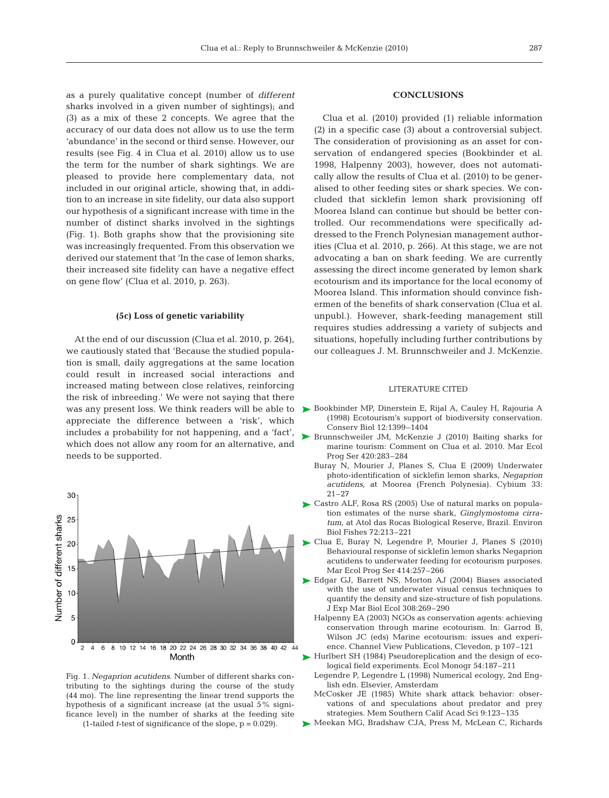as a purely qualitative concept (number of *different* sharks involved in a given number of sightings); and (3) as a mix of these 2 concepts. We agree that the accuracy of our data does not allow us to use the term 'abundance' in the second or third sense. However, our results (see Fig. 4 in Clua et al. 2010) allow us to use the term for the number of shark sightings. We are pleased to provide here complementary data, not included in our original article, showing that, in addition to an increase in site fidelity, our data also support our hypothesis of a significant increase with time in the number of distinct sharks involved in the sightings (Fig. 1). Both graphs show that the provisioning site was increasingly frequented. From this observation we derived our statement that 'In the case of lemon sharks, their increased site fidelity can have a negative effect on gene flow' (Clua et al. 2010, p. 263).

## **(5c) Loss of genetic variability**

At the end of our discussion (Clua et al. 2010, p. 264), we cautiously stated that 'Because the studied population is small, daily aggregations at the same location could result in increased social interactions and increased mating between close relatives, reinforcing the risk of inbreeding.' We were not saying that there was any present loss. We think readers will be able to appreciate the difference between a 'risk', which includes a probability for not happening, and a 'fact', which does not allow any room for an alternative, and needs to be supported.



Fig. 1. *Negaprion acutidens*. Number of different sharks contributing to the sightings during the course of the study (44 mo). The line representing the linear trend supports the hypothesis of a significant increase (at the usual 5% significance level) in the number of sharks at the feeding site

(1-tailed *t*-test of significance of the slope, p = 0.029).

### **CONCLUSIONS**

Clua et al. (2010) provided (1) reliable information (2) in a specific case (3) about a controversial subject. The consideration of provisioning as an asset for conservation of endangered species (Bookbinder et al. 1998, Halpenny 2003), however, does not automatically allow the results of Clua et al. (2010) to be generalised to other feeding sites or shark species. We concluded that sicklefin lemon shark provisioning off Moorea Island can continue but should be better controlled. Our recommendations were specifically addressed to the French Polynesian management authorities (Clua et al. 2010, p. 266). At this stage, we are not advocating a ban on shark feeding. We are currently assessing the direct income generated by lemon shark ecotourism and its importance for the local economy of Moorea Island. This information should convince fishermen of the benefits of shark conservation (Clua et al. unpubl.). However, shark-feeding management still requires studies addressing a variety of subjects and situations, hopefully including further contributions by our colleagues J. M. Brunnschweiler and J. McKenzie.

#### LITERATURE CITED

- Bookbinder MP, Dinerstein E, Rijal A, Cauley H, Rajouria A ä (1998) Ecotourism's support of biodiversity conservation. Conserv Biol 12:1399–1404
- Brunnschweiler JM, McKenzie J (2010) Baiting sharks for ämarine tourism: Comment on Clua et al. 2010. Mar Ecol Prog Ser 420:283–284
	- Buray N, Mourier J, Planes S, Clua E (2009) Underwater photo-identification of sicklefin lemon sharks, *Negaprion acutidens*, at Moorea (French Polynesia). Cybium 33: 21–27
- Castro ALF, Rosa RS (2005) Use of natural marks on popula-ä tion estimates of the nurse shark, *Ginglymostoma cirratum*, at Atol das Rocas Biological Reserve, Brazil. Environ Biol Fishes 72:213–221
- Clua E, Buray N, Legendre P, Mourier J, Planes S (2010) Behavioural response of sicklefin lemon sharks Negaprion acutidens to underwater feeding for ecotourism purposes. Mar Ecol Prog Ser 414:257–266
- Edgar GJ, Barrett NS, Morton AJ (2004) Biases associated ä with the use of underwater visual census techniques to quantify the density and size-structure of fish populations. J Exp Mar Biol Ecol 308:269–290
	- Halpenny EA (2003) NGOs as conservation agents: achieving conservation through marine ecotourism. In: Garrod B, Wilson JC (eds) Marine ecotourism: issues and experience. Channel View Publications, Clevedon, p 107–121
- Hurlbert SH (1984) Pseudoreplication and the design of eco-ä logical field experiments. Ecol Monogr 54:187–211
	- Legendre P, Legendre L (1998) Numerical ecology, 2nd English edn. Elsevier, Amsterdam
	- McCosker JE (1985) White shark attack behavior: observations of and speculations about predator and prey strategies. Mem Southern Calif Acad Sci 9:123–135
- Meekan MG, Bradshaw CJA, Press M, McLean C, Richards ä